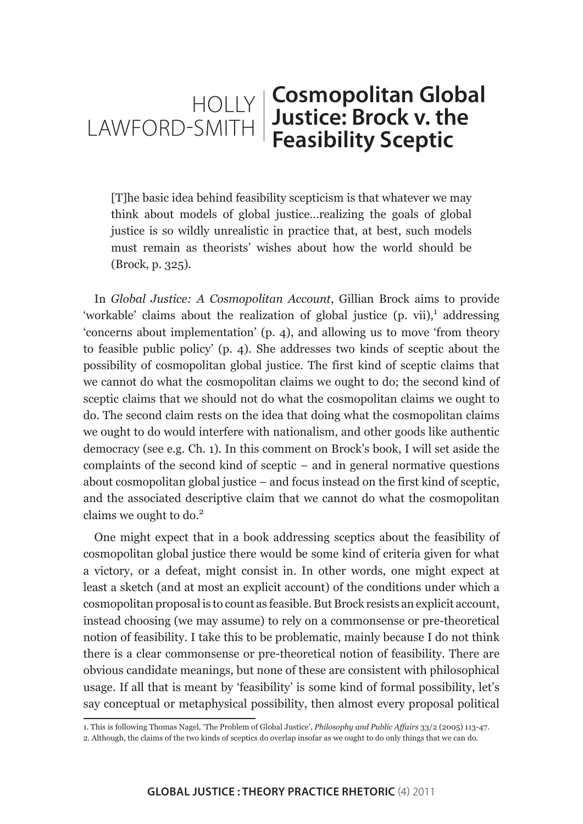# **Cosmopolitan Global Justice: Brock v. the Feasibility Sceptic** HOLLY LAWFORD-SMITH

[T]he basic idea behind feasibility scepticism is that whatever we may think about models of global justice…realizing the goals of global justice is so wildly unrealistic in practice that, at best, such models must remain as theorists' wishes about how the world should be (Brock, p. 325).

In *Global Justice: A Cosmopolitan Account*, Gillian Brock aims to provide 'workable' claims about the realization of global justice (p. vii),<sup>1</sup> addressing 'concerns about implementation' (p. 4), and allowing us to move 'from theory to feasible public policy' (p. 4). She addresses two kinds of sceptic about the possibility of cosmopolitan global justice. The first kind of sceptic claims that we cannot do what the cosmopolitan claims we ought to do; the second kind of sceptic claims that we should not do what the cosmopolitan claims we ought to do. The second claim rests on the idea that doing what the cosmopolitan claims we ought to do would interfere with nationalism, and other goods like authentic democracy (see e.g. Ch. 1). In this comment on Brock's book, I will set aside the complaints of the second kind of sceptic – and in general normative questions about cosmopolitan global justice – and focus instead on the first kind of sceptic, and the associated descriptive claim that we cannot do what the cosmopolitan claims we ought to do.<sup>2</sup>

One might expect that in a book addressing sceptics about the feasibility of cosmopolitan global justice there would be some kind of criteria given for what a victory, or a defeat, might consist in. In other words, one might expect at least a sketch (and at most an explicit account) of the conditions under which a cosmopolitan proposal is to count as feasible. But Brock resists an explicit account, instead choosing (we may assume) to rely on a commonsense or pre-theoretical notion of feasibility. I take this to be problematic, mainly because I do not think there is a clear commonsense or pre-theoretical notion of feasibility. There are obvious candidate meanings, but none of these are consistent with philosophical usage. If all that is meant by 'feasibility' is some kind of formal possibility, let's say conceptual or metaphysical possibility, then almost every proposal political

<sup>1.</sup> This is following Thomas Nagel, 'The Problem of Global Justice', *Philosophy and Public Affairs* 33/2 (2005) 113-47.

<sup>2.</sup> Although, the claims of the two kinds of sceptics do overlap insofar as we ought to do only things that we can do.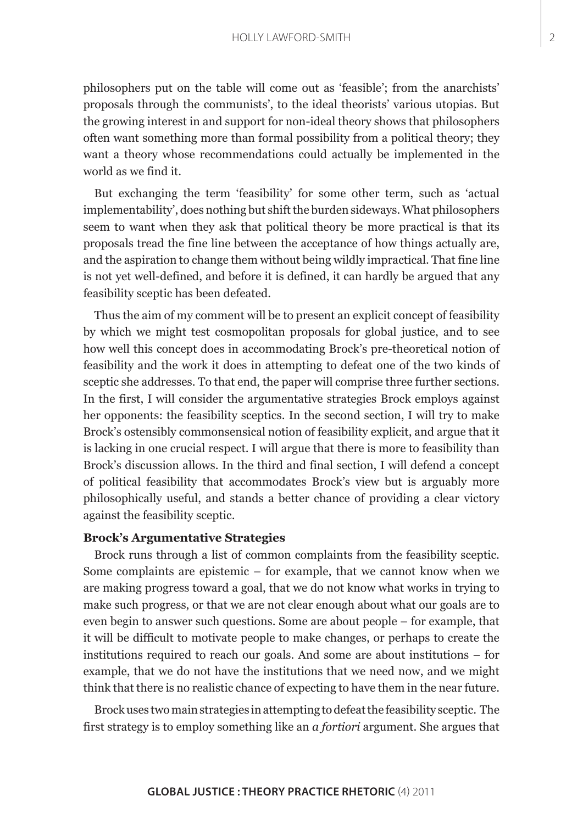philosophers put on the table will come out as 'feasible'; from the anarchists' proposals through the communists', to the ideal theorists' various utopias. But the growing interest in and support for non-ideal theory shows that philosophers often want something more than formal possibility from a political theory; they want a theory whose recommendations could actually be implemented in the world as we find it.

But exchanging the term 'feasibility' for some other term, such as 'actual implementability', does nothing but shift the burden sideways. What philosophers seem to want when they ask that political theory be more practical is that its proposals tread the fine line between the acceptance of how things actually are, and the aspiration to change them without being wildly impractical. That fine line is not yet well-defined, and before it is defined, it can hardly be argued that any feasibility sceptic has been defeated.

Thus the aim of my comment will be to present an explicit concept of feasibility by which we might test cosmopolitan proposals for global justice, and to see how well this concept does in accommodating Brock's pre-theoretical notion of feasibility and the work it does in attempting to defeat one of the two kinds of sceptic she addresses. To that end, the paper will comprise three further sections. In the first, I will consider the argumentative strategies Brock employs against her opponents: the feasibility sceptics. In the second section, I will try to make Brock's ostensibly commonsensical notion of feasibility explicit, and argue that it is lacking in one crucial respect. I will argue that there is more to feasibility than Brock's discussion allows. In the third and final section, I will defend a concept of political feasibility that accommodates Brock's view but is arguably more philosophically useful, and stands a better chance of providing a clear victory against the feasibility sceptic.

### **Brock's Argumentative Strategies**

Brock runs through a list of common complaints from the feasibility sceptic. Some complaints are epistemic – for example, that we cannot know when we are making progress toward a goal, that we do not know what works in trying to make such progress, or that we are not clear enough about what our goals are to even begin to answer such questions. Some are about people – for example, that it will be difficult to motivate people to make changes, or perhaps to create the institutions required to reach our goals. And some are about institutions – for example, that we do not have the institutions that we need now, and we might think that there is no realistic chance of expecting to have them in the near future.

Brock uses two main strategies in attempting to defeat the feasibility sceptic. The first strategy is to employ something like an *a fortiori* argument. She argues that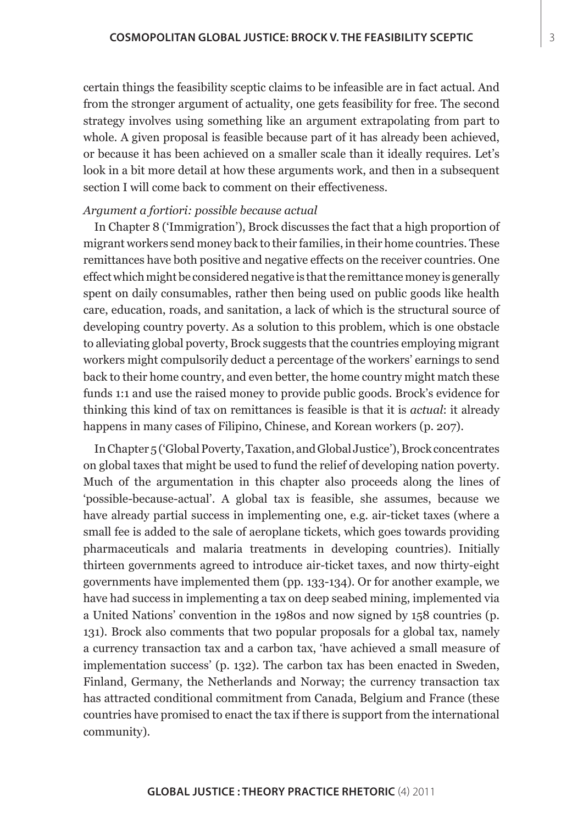certain things the feasibility sceptic claims to be infeasible are in fact actual. And from the stronger argument of actuality, one gets feasibility for free. The second strategy involves using something like an argument extrapolating from part to whole. A given proposal is feasible because part of it has already been achieved, or because it has been achieved on a smaller scale than it ideally requires. Let's look in a bit more detail at how these arguments work, and then in a subsequent section I will come back to comment on their effectiveness.

## *Argument a fortiori: possible because actual*

In Chapter 8 ('Immigration'), Brock discusses the fact that a high proportion of migrant workers send money back to their families, in their home countries. These remittances have both positive and negative effects on the receiver countries. One effect which might be considered negative is that the remittance money is generally spent on daily consumables, rather then being used on public goods like health care, education, roads, and sanitation, a lack of which is the structural source of developing country poverty. As a solution to this problem, which is one obstacle to alleviating global poverty, Brock suggests that the countries employing migrant workers might compulsorily deduct a percentage of the workers' earnings to send back to their home country, and even better, the home country might match these funds 1:1 and use the raised money to provide public goods. Brock's evidence for thinking this kind of tax on remittances is feasible is that it is *actual*: it already happens in many cases of Filipino, Chinese, and Korean workers (p. 207).

In Chapter 5 ('Global Poverty, Taxation, and Global Justice'), Brock concentrates on global taxes that might be used to fund the relief of developing nation poverty. Much of the argumentation in this chapter also proceeds along the lines of 'possible-because-actual'. A global tax is feasible, she assumes, because we have already partial success in implementing one, e.g. air-ticket taxes (where a small fee is added to the sale of aeroplane tickets, which goes towards providing pharmaceuticals and malaria treatments in developing countries). Initially thirteen governments agreed to introduce air-ticket taxes, and now thirty-eight governments have implemented them (pp. 133-134). Or for another example, we have had success in implementing a tax on deep seabed mining, implemented via a United Nations' convention in the 1980s and now signed by 158 countries (p. 131). Brock also comments that two popular proposals for a global tax, namely a currency transaction tax and a carbon tax, 'have achieved a small measure of implementation success' (p. 132). The carbon tax has been enacted in Sweden, Finland, Germany, the Netherlands and Norway; the currency transaction tax has attracted conditional commitment from Canada, Belgium and France (these countries have promised to enact the tax if there is support from the international community).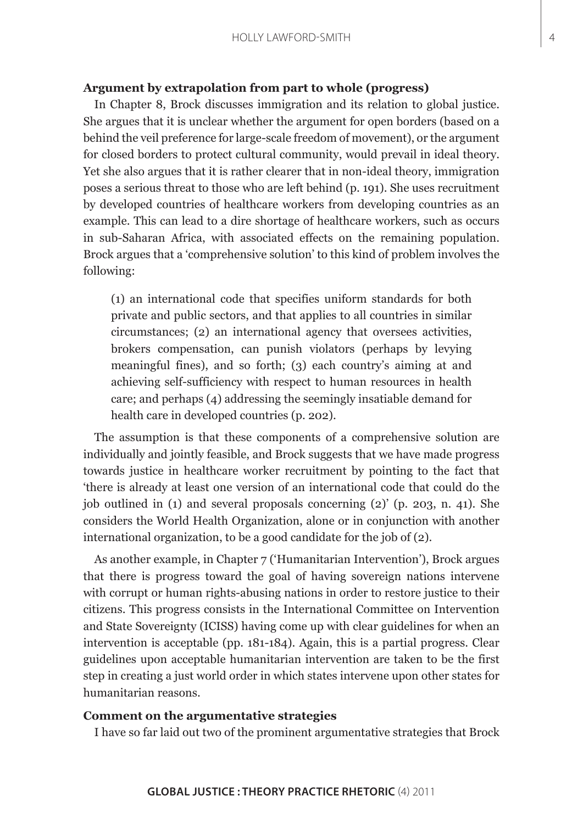#### **Argument by extrapolation from part to whole (progress)**

In Chapter 8, Brock discusses immigration and its relation to global justice. She argues that it is unclear whether the argument for open borders (based on a behind the veil preference for large-scale freedom of movement), or the argument for closed borders to protect cultural community, would prevail in ideal theory. Yet she also argues that it is rather clearer that in non-ideal theory, immigration poses a serious threat to those who are left behind (p. 191). She uses recruitment by developed countries of healthcare workers from developing countries as an example. This can lead to a dire shortage of healthcare workers, such as occurs in sub-Saharan Africa, with associated effects on the remaining population. Brock argues that a 'comprehensive solution' to this kind of problem involves the following:

(1) an international code that specifies uniform standards for both private and public sectors, and that applies to all countries in similar circumstances; (2) an international agency that oversees activities, brokers compensation, can punish violators (perhaps by levying meaningful fines), and so forth; (3) each country's aiming at and achieving self-sufficiency with respect to human resources in health care; and perhaps (4) addressing the seemingly insatiable demand for health care in developed countries (p. 202).

The assumption is that these components of a comprehensive solution are individually and jointly feasible, and Brock suggests that we have made progress towards justice in healthcare worker recruitment by pointing to the fact that 'there is already at least one version of an international code that could do the job outlined in (1) and several proposals concerning (2)' (p. 203, n. 41). She considers the World Health Organization, alone or in conjunction with another international organization, to be a good candidate for the job of (2).

As another example, in Chapter 7 ('Humanitarian Intervention'), Brock argues that there is progress toward the goal of having sovereign nations intervene with corrupt or human rights-abusing nations in order to restore justice to their citizens. This progress consists in the International Committee on Intervention and State Sovereignty (ICISS) having come up with clear guidelines for when an intervention is acceptable (pp. 181-184). Again, this is a partial progress. Clear guidelines upon acceptable humanitarian intervention are taken to be the first step in creating a just world order in which states intervene upon other states for humanitarian reasons.

### **Comment on the argumentative strategies**

I have so far laid out two of the prominent argumentative strategies that Brock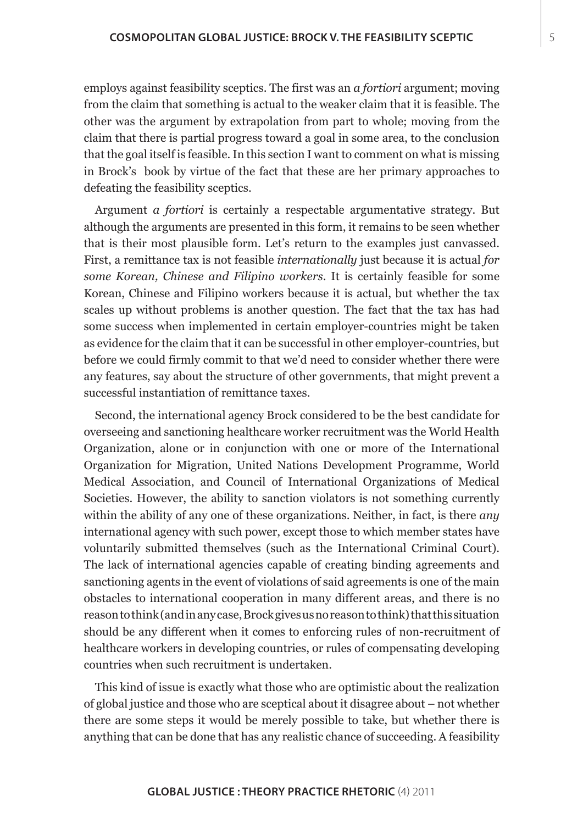employs against feasibility sceptics. The first was an *a fortiori* argument; moving from the claim that something is actual to the weaker claim that it is feasible. The other was the argument by extrapolation from part to whole; moving from the claim that there is partial progress toward a goal in some area, to the conclusion that the goal itself is feasible. In this section I want to comment on what is missing in Brock's book by virtue of the fact that these are her primary approaches to defeating the feasibility sceptics.

Argument *a fortiori* is certainly a respectable argumentative strategy. But although the arguments are presented in this form, it remains to be seen whether that is their most plausible form. Let's return to the examples just canvassed. First, a remittance tax is not feasible *internationally* just because it is actual *for some Korean, Chinese and Filipino workers*. It is certainly feasible for some Korean, Chinese and Filipino workers because it is actual, but whether the tax scales up without problems is another question. The fact that the tax has had some success when implemented in certain employer-countries might be taken as evidence for the claim that it can be successful in other employer-countries, but before we could firmly commit to that we'd need to consider whether there were any features, say about the structure of other governments, that might prevent a successful instantiation of remittance taxes.

Second, the international agency Brock considered to be the best candidate for overseeing and sanctioning healthcare worker recruitment was the World Health Organization, alone or in conjunction with one or more of the International Organization for Migration, United Nations Development Programme, World Medical Association, and Council of International Organizations of Medical Societies. However, the ability to sanction violators is not something currently within the ability of any one of these organizations. Neither, in fact, is there *any*  international agency with such power, except those to which member states have voluntarily submitted themselves (such as the International Criminal Court). The lack of international agencies capable of creating binding agreements and sanctioning agents in the event of violations of said agreements is one of the main obstacles to international cooperation in many different areas, and there is no reason to think (and in any case, Brock gives us no reason to think) that this situation should be any different when it comes to enforcing rules of non-recruitment of healthcare workers in developing countries, or rules of compensating developing countries when such recruitment is undertaken.

This kind of issue is exactly what those who are optimistic about the realization of global justice and those who are sceptical about it disagree about – not whether there are some steps it would be merely possible to take, but whether there is anything that can be done that has any realistic chance of succeeding. A feasibility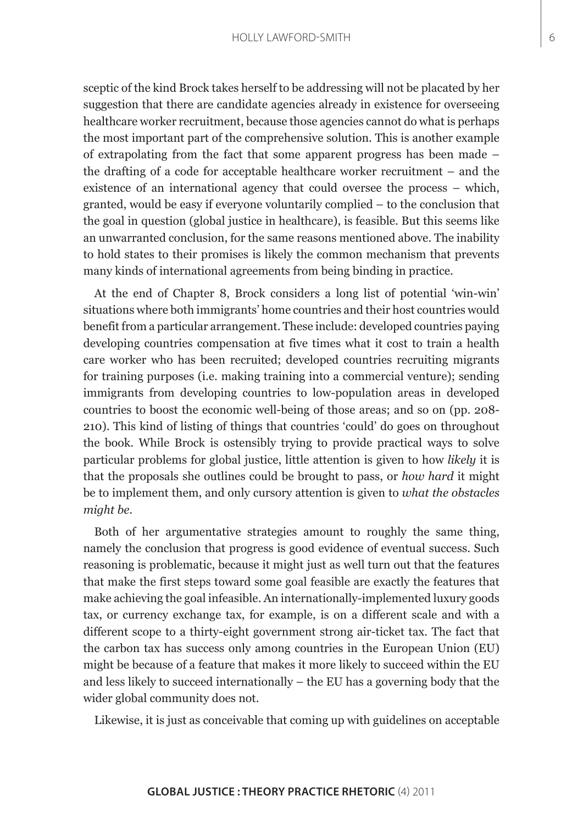sceptic of the kind Brock takes herself to be addressing will not be placated by her suggestion that there are candidate agencies already in existence for overseeing healthcare worker recruitment, because those agencies cannot do what is perhaps the most important part of the comprehensive solution. This is another example of extrapolating from the fact that some apparent progress has been made – the drafting of a code for acceptable healthcare worker recruitment – and the existence of an international agency that could oversee the process – which, granted, would be easy if everyone voluntarily complied – to the conclusion that the goal in question (global justice in healthcare), is feasible. But this seems like an unwarranted conclusion, for the same reasons mentioned above. The inability to hold states to their promises is likely the common mechanism that prevents many kinds of international agreements from being binding in practice.

At the end of Chapter 8, Brock considers a long list of potential 'win-win' situations where both immigrants' home countries and their host countries would benefit from a particular arrangement. These include: developed countries paying developing countries compensation at five times what it cost to train a health care worker who has been recruited; developed countries recruiting migrants for training purposes (i.e. making training into a commercial venture); sending immigrants from developing countries to low-population areas in developed countries to boost the economic well-being of those areas; and so on (pp. 208- 210). This kind of listing of things that countries 'could' do goes on throughout the book. While Brock is ostensibly trying to provide practical ways to solve particular problems for global justice, little attention is given to how *likely* it is that the proposals she outlines could be brought to pass, or *how hard* it might be to implement them, and only cursory attention is given to *what the obstacles might be*.

Both of her argumentative strategies amount to roughly the same thing, namely the conclusion that progress is good evidence of eventual success. Such reasoning is problematic, because it might just as well turn out that the features that make the first steps toward some goal feasible are exactly the features that make achieving the goal infeasible. An internationally-implemented luxury goods tax, or currency exchange tax, for example, is on a different scale and with a different scope to a thirty-eight government strong air-ticket tax. The fact that the carbon tax has success only among countries in the European Union (EU) might be because of a feature that makes it more likely to succeed within the EU and less likely to succeed internationally – the EU has a governing body that the wider global community does not.

Likewise, it is just as conceivable that coming up with guidelines on acceptable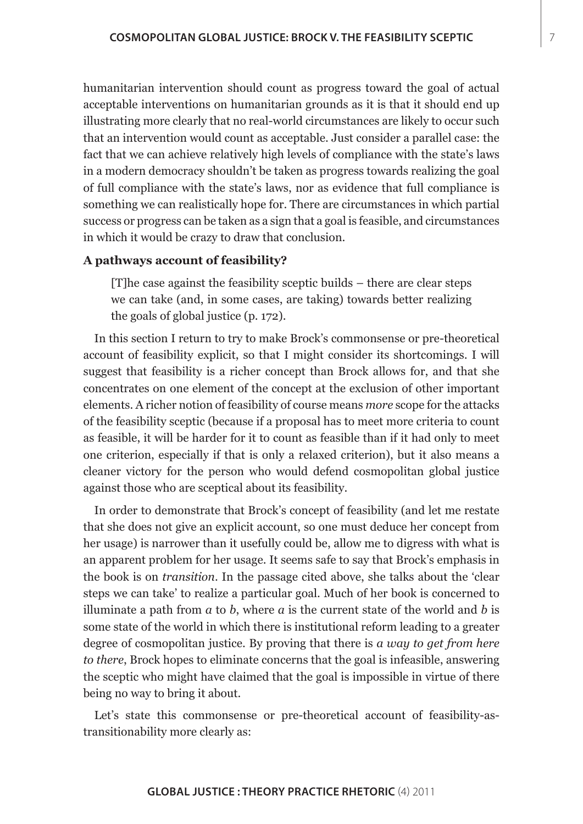humanitarian intervention should count as progress toward the goal of actual acceptable interventions on humanitarian grounds as it is that it should end up illustrating more clearly that no real-world circumstances are likely to occur such that an intervention would count as acceptable. Just consider a parallel case: the fact that we can achieve relatively high levels of compliance with the state's laws in a modern democracy shouldn't be taken as progress towards realizing the goal of full compliance with the state's laws, nor as evidence that full compliance is something we can realistically hope for. There are circumstances in which partial success or progress can be taken as a sign that a goal is feasible, and circumstances in which it would be crazy to draw that conclusion.

#### **A pathways account of feasibility?**

[T]he case against the feasibility sceptic builds – there are clear steps we can take (and, in some cases, are taking) towards better realizing the goals of global justice (p. 172).

In this section I return to try to make Brock's commonsense or pre-theoretical account of feasibility explicit, so that I might consider its shortcomings. I will suggest that feasibility is a richer concept than Brock allows for, and that she concentrates on one element of the concept at the exclusion of other important elements. A richer notion of feasibility of course means *more* scope for the attacks of the feasibility sceptic (because if a proposal has to meet more criteria to count as feasible, it will be harder for it to count as feasible than if it had only to meet one criterion, especially if that is only a relaxed criterion), but it also means a cleaner victory for the person who would defend cosmopolitan global justice against those who are sceptical about its feasibility.

In order to demonstrate that Brock's concept of feasibility (and let me restate that she does not give an explicit account, so one must deduce her concept from her usage) is narrower than it usefully could be, allow me to digress with what is an apparent problem for her usage. It seems safe to say that Brock's emphasis in the book is on *transition*. In the passage cited above, she talks about the 'clear steps we can take' to realize a particular goal. Much of her book is concerned to illuminate a path from *a* to *b*, where *a* is the current state of the world and *b* is some state of the world in which there is institutional reform leading to a greater degree of cosmopolitan justice. By proving that there is *a way to get from here to there*, Brock hopes to eliminate concerns that the goal is infeasible, answering the sceptic who might have claimed that the goal is impossible in virtue of there being no way to bring it about.

Let's state this commonsense or pre-theoretical account of feasibility-astransitionability more clearly as: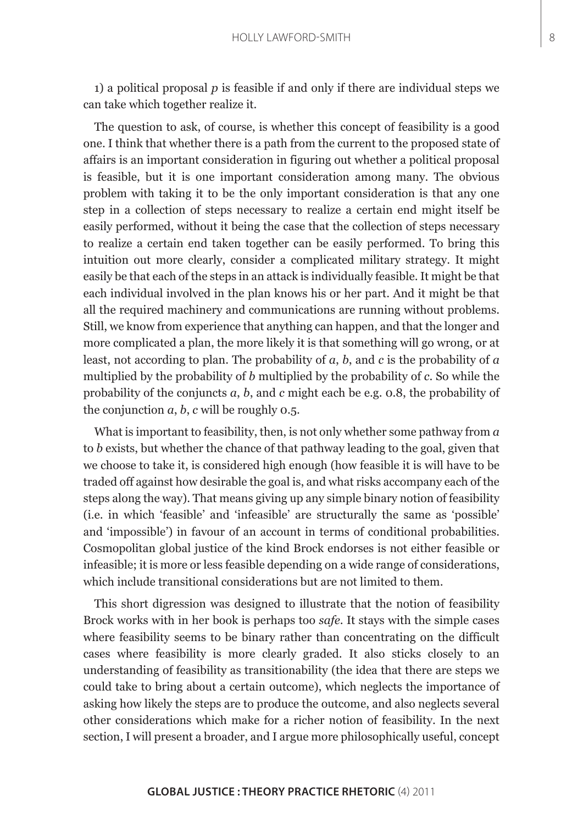1) a political proposal *p* is feasible if and only if there are individual steps we can take which together realize it.

The question to ask, of course, is whether this concept of feasibility is a good one. I think that whether there is a path from the current to the proposed state of affairs is an important consideration in figuring out whether a political proposal is feasible, but it is one important consideration among many. The obvious problem with taking it to be the only important consideration is that any one step in a collection of steps necessary to realize a certain end might itself be easily performed, without it being the case that the collection of steps necessary to realize a certain end taken together can be easily performed. To bring this intuition out more clearly, consider a complicated military strategy. It might easily be that each of the steps in an attack is individually feasible. It might be that each individual involved in the plan knows his or her part. And it might be that all the required machinery and communications are running without problems. Still, we know from experience that anything can happen, and that the longer and more complicated a plan, the more likely it is that something will go wrong, or at least, not according to plan. The probability of *a*, *b*, and *c* is the probability of *a*  multiplied by the probability of *b* multiplied by the probability of *c*. So while the probability of the conjuncts *a*, *b*, and *c* might each be e.g. 0.8, the probability of the conjunction *a*, *b*, *c* will be roughly 0.5.

What is important to feasibility, then, is not only whether some pathway from *a*  to *b* exists, but whether the chance of that pathway leading to the goal, given that we choose to take it, is considered high enough (how feasible it is will have to be traded off against how desirable the goal is, and what risks accompany each of the steps along the way). That means giving up any simple binary notion of feasibility (i.e. in which 'feasible' and 'infeasible' are structurally the same as 'possible' and 'impossible') in favour of an account in terms of conditional probabilities. Cosmopolitan global justice of the kind Brock endorses is not either feasible or infeasible; it is more or less feasible depending on a wide range of considerations, which include transitional considerations but are not limited to them.

This short digression was designed to illustrate that the notion of feasibility Brock works with in her book is perhaps too *safe*. It stays with the simple cases where feasibility seems to be binary rather than concentrating on the difficult cases where feasibility is more clearly graded. It also sticks closely to an understanding of feasibility as transitionability (the idea that there are steps we could take to bring about a certain outcome), which neglects the importance of asking how likely the steps are to produce the outcome, and also neglects several other considerations which make for a richer notion of feasibility. In the next section, I will present a broader, and I argue more philosophically useful, concept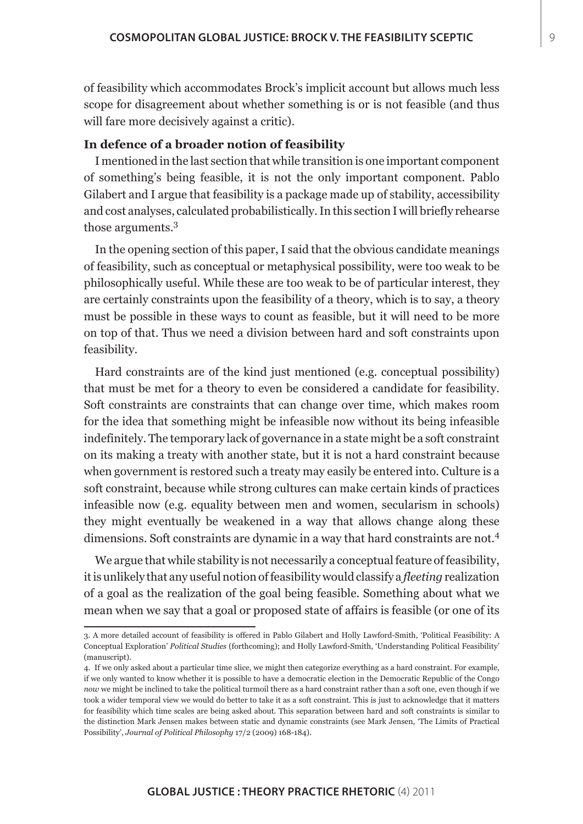of feasibility which accommodates Brock's implicit account but allows much less scope for disagreement about whether something is or is not feasible (and thus will fare more decisively against a critic).

# **In defence of a broader notion of feasibility**

I mentioned in the last section that while transition is one important component of something's being feasible, it is not the only important component. Pablo Gilabert and I argue that feasibility is a package made up of stability, accessibility and cost analyses, calculated probabilistically. In this section I will briefly rehearse those arguments.<sup>3</sup>

In the opening section of this paper, I said that the obvious candidate meanings of feasibility, such as conceptual or metaphysical possibility, were too weak to be philosophically useful. While these are too weak to be of particular interest, they are certainly constraints upon the feasibility of a theory, which is to say, a theory must be possible in these ways to count as feasible, but it will need to be more on top of that. Thus we need a division between hard and soft constraints upon feasibility.

Hard constraints are of the kind just mentioned (e.g. conceptual possibility) that must be met for a theory to even be considered a candidate for feasibility. Soft constraints are constraints that can change over time, which makes room for the idea that something might be infeasible now without its being infeasible indefinitely. The temporary lack of governance in a state might be a soft constraint on its making a treaty with another state, but it is not a hard constraint because when government is restored such a treaty may easily be entered into. Culture is a soft constraint, because while strong cultures can make certain kinds of practices infeasible now (e.g. equality between men and women, secularism in schools) they might eventually be weakened in a way that allows change along these dimensions. Soft constraints are dynamic in a way that hard constraints are not.<sup>4</sup>

We argue that while stability is not necessarily a conceptual feature of feasibility, it is unlikely that any useful notion of feasibility would classify a *fleeting* realization of a goal as the realization of the goal being feasible. Something about what we mean when we say that a goal or proposed state of affairs is feasible (or one of its

<sup>3.</sup> A more detailed account of feasibility is offered in Pablo Gilabert and Holly Lawford-Smith, 'Political Feasibility: A Conceptual Exploration' *Political Studies* (forthcoming); and Holly Lawford-Smith, 'Understanding Political Feasibility' (manuscript).

<sup>4.</sup> If we only asked about a particular time slice, we might then categorize everything as a hard constraint. For example, if we only wanted to know whether it is possible to have a democratic election in the Democratic Republic of the Congo *now* we might be inclined to take the political turmoil there as a hard constraint rather than a soft one, even though if we took a wider temporal view we would do better to take it as a soft constraint. This is just to acknowledge that it matters for feasibility which time scales are being asked about. This separation between hard and soft constraints is similar to the distinction Mark Jensen makes between static and dynamic constraints (see Mark Jensen, 'The Limits of Practical Possibility', *Journal of Political Philosophy* 17/2 (2009) 168-184).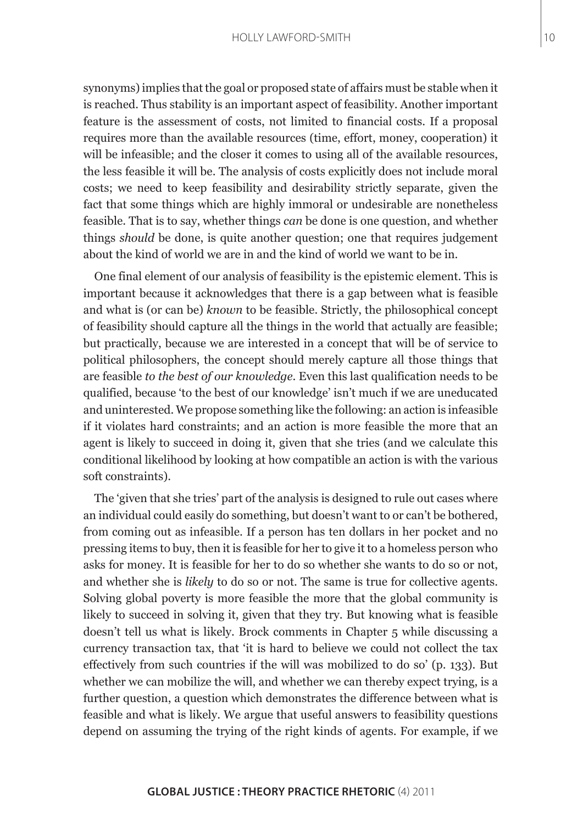synonyms) implies that the goal or proposed state of affairs must be stable when it is reached. Thus stability is an important aspect of feasibility. Another important feature is the assessment of costs, not limited to financial costs. If a proposal requires more than the available resources (time, effort, money, cooperation) it will be infeasible; and the closer it comes to using all of the available resources, the less feasible it will be. The analysis of costs explicitly does not include moral costs; we need to keep feasibility and desirability strictly separate, given the fact that some things which are highly immoral or undesirable are nonetheless feasible. That is to say, whether things *can* be done is one question, and whether things *should* be done, is quite another question; one that requires judgement about the kind of world we are in and the kind of world we want to be in.

One final element of our analysis of feasibility is the epistemic element. This is important because it acknowledges that there is a gap between what is feasible and what is (or can be) *known* to be feasible. Strictly, the philosophical concept of feasibility should capture all the things in the world that actually are feasible; but practically, because we are interested in a concept that will be of service to political philosophers, the concept should merely capture all those things that are feasible *to the best of our knowledge*. Even this last qualification needs to be qualified, because 'to the best of our knowledge' isn't much if we are uneducated and uninterested. We propose something like the following: an action is infeasible if it violates hard constraints; and an action is more feasible the more that an agent is likely to succeed in doing it, given that she tries (and we calculate this conditional likelihood by looking at how compatible an action is with the various soft constraints).

The 'given that she tries' part of the analysis is designed to rule out cases where an individual could easily do something, but doesn't want to or can't be bothered, from coming out as infeasible. If a person has ten dollars in her pocket and no pressing items to buy, then it is feasible for her to give it to a homeless person who asks for money. It is feasible for her to do so whether she wants to do so or not, and whether she is *likely* to do so or not. The same is true for collective agents. Solving global poverty is more feasible the more that the global community is likely to succeed in solving it, given that they try. But knowing what is feasible doesn't tell us what is likely. Brock comments in Chapter 5 while discussing a currency transaction tax, that 'it is hard to believe we could not collect the tax effectively from such countries if the will was mobilized to do so' (p. 133). But whether we can mobilize the will, and whether we can thereby expect trying, is a further question, a question which demonstrates the difference between what is feasible and what is likely. We argue that useful answers to feasibility questions depend on assuming the trying of the right kinds of agents. For example, if we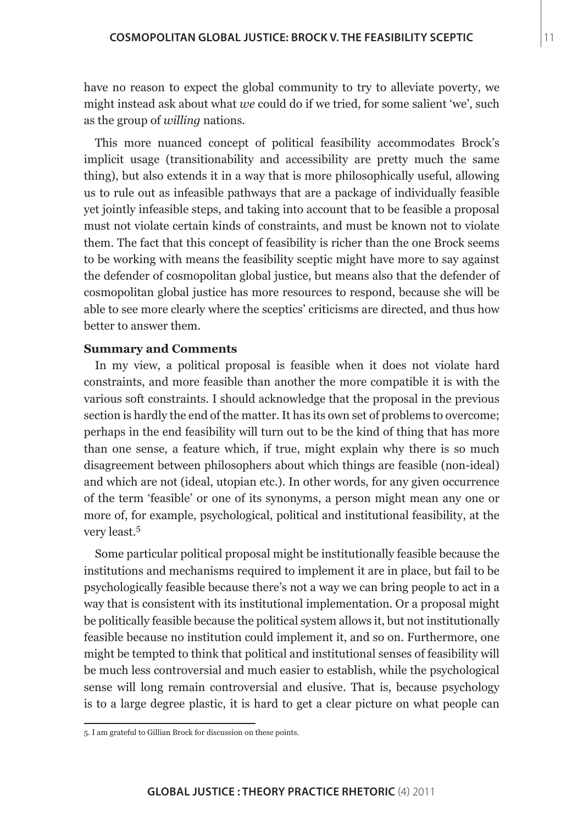have no reason to expect the global community to try to alleviate poverty, we might instead ask about what *we* could do if we tried, for some salient 'we', such as the group of *willing* nations.

This more nuanced concept of political feasibility accommodates Brock's implicit usage (transitionability and accessibility are pretty much the same thing), but also extends it in a way that is more philosophically useful, allowing us to rule out as infeasible pathways that are a package of individually feasible yet jointly infeasible steps, and taking into account that to be feasible a proposal must not violate certain kinds of constraints, and must be known not to violate them. The fact that this concept of feasibility is richer than the one Brock seems to be working with means the feasibility sceptic might have more to say against the defender of cosmopolitan global justice, but means also that the defender of cosmopolitan global justice has more resources to respond, because she will be able to see more clearly where the sceptics' criticisms are directed, and thus how better to answer them.

## **Summary and Comments**

In my view, a political proposal is feasible when it does not violate hard constraints, and more feasible than another the more compatible it is with the various soft constraints. I should acknowledge that the proposal in the previous section is hardly the end of the matter. It has its own set of problems to overcome; perhaps in the end feasibility will turn out to be the kind of thing that has more than one sense, a feature which, if true, might explain why there is so much disagreement between philosophers about which things are feasible (non-ideal) and which are not (ideal, utopian etc.). In other words, for any given occurrence of the term 'feasible' or one of its synonyms, a person might mean any one or more of, for example, psychological, political and institutional feasibility, at the very least.<sup>5</sup>

Some particular political proposal might be institutionally feasible because the institutions and mechanisms required to implement it are in place, but fail to be psychologically feasible because there's not a way we can bring people to act in a way that is consistent with its institutional implementation. Or a proposal might be politically feasible because the political system allows it, but not institutionally feasible because no institution could implement it, and so on. Furthermore, one might be tempted to think that political and institutional senses of feasibility will be much less controversial and much easier to establish, while the psychological sense will long remain controversial and elusive. That is, because psychology is to a large degree plastic, it is hard to get a clear picture on what people can

<sup>5.</sup> I am grateful to Gillian Brock for discussion on these points.